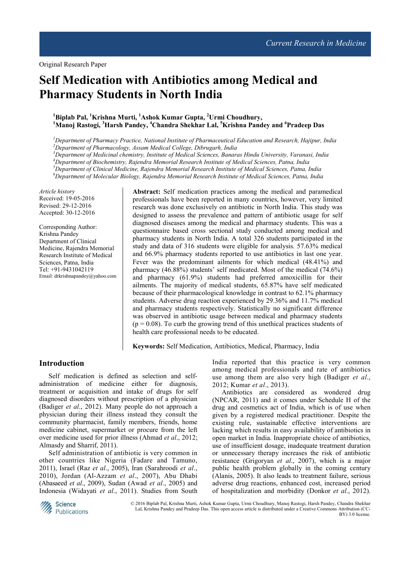# **Self Medication with Antibiotics among Medical and Pharmacy Students in North India**

**<sup>1</sup>Biplab Pal, <sup>1</sup>Krishna Murti, <sup>1</sup>Ashok Kumar Gupta, <sup>2</sup>Urmi Choudhury, <sup>1</sup>Manoj Rastogi, <sup>3</sup>Harsh Pandey, <sup>4</sup>Chandra Shekhar Lal, <sup>5</sup>Krishna Pandey and <sup>6</sup>Pradeep Das**

*<sup>1</sup>Department of Pharmacy Practice, National Institute of Pharmaceutical Education and Research, Hajipur, India <sup>2</sup>Department of Pharmacology, Assam Medical College, Dibrugarh, India* 

*<sup>3</sup>Department of Medicinal chemistry, Institute of Medical Sciences, Banaras Hindu University, Varanasi, India* 

*<sup>4</sup>Department of Biochemistry, Rajendra Memorial Research Institute of Medical Sciences, Patna, India* 

*<sup>5</sup>Department of Clinical Medicine, Rajendra Memorial Research Institute of Medical Sciences, Patna, India* 

*<sup>6</sup>Department of Molecular Biology, Rajendra Memorial Research Institute of Medical Sciences, Patna, India* 

*Article history*  Received: 19-05-2016 Revised: 29-12-2016 Accepted: 30-12-2016

Corresponding Author: Krishna Pandey Department of Clinical Medicine, Rajendra Memorial Research Institute of Medical Sciences, Patna, India Tel: +91-9431042119 Email: drkrishnapandey@yahoo.com **Abstract:** Self medication practices among the medical and paramedical professionals have been reported in many countries, however, very limited research was done exclusively on antibiotic in North India. This study was designed to assess the prevalence and pattern of antibiotic usage for self diagnosed diseases among the medical and pharmacy students. This was a questionnaire based cross sectional study conducted among medical and pharmacy students in North India. A total 326 students participated in the study and data of 316 students were eligible for analysis. 57.63% medical and 66.9% pharmacy students reported to use antibiotics in last one year. Fever was the predominant ailments for which medical (48.41%) and pharmacy  $(46.88\%)$  students' self medicated. Most of the medical  $(74.6\%)$ and pharmacy (61.9%) students had preferred amoxicillin for their ailments. The majority of medical students, 65.87% have self medicated because of their pharmacological knowledge in contrast to 62.1% pharmacy students. Adverse drug reaction experienced by 29.36% and 11.7% medical and pharmacy students respectively. Statistically no significant difference was observed in antibiotic usage between medical and pharmacy students  $(p = 0.08)$ . To curb the growing trend of this unethical practices students of health care professional needs to be educated.

**Keywords:** Self Medication, Antibiotics, Medical, Pharmacy, India

## **Introduction**

Self medication is defined as selection and selfadministration of medicine either for diagnosis, treatment or acquisition and intake of drugs for self diagnosed disorders without prescription of a physician (Badiger *et al*., 2012). Many people do not approach a physician during their illness instead they consult the community pharmacist, family members, friends, home medicine cabinet, supermarket or procure from the left over medicine used for prior illness (Ahmad *et al*., 2012; Almasdy and Sharrif, 2011).

Self administration of antibiotic is very common in other countries like Nigeria (Fadare and Tamuno, 2011), Israel (Raz *et al*., 2005), Iran (Sarahroodi *et al*., 2010), Jordan (Al-Azzam *et al*., 2007), Abu Dhabi (Abasaeed *et al*., 2009), Sudan (Awad *et al*., 2005) and Indonesia (Widayati *et al*., 2011). Studies from South

India reported that this practice is very common among medical professionals and rate of antibiotics use among them are also very high (Badiger *et al*., 2012; Kumar *et al*., 2013).

Antibiotics are considered as wondered drug (NPCAR, 2011) and it comes under Schedule H of the drug and cosmetics act of India, which is of use when given by a registered medical practitioner. Despite the existing rule, sustainable effective interventions are lacking which results in easy availability of antibiotics in open market in India. Inappropriate choice of antibiotics, use of insufficient dosage, inadequate treatment duration or unnecessary therapy increases the risk of antibiotic resistance (Grigoryan *et al*., 2007), which is a major public health problem globally in the coming century (Alanis, 2005). It also leads to treatment failure, serious adverse drug reactions, enhanced cost, increased period of hospitalization and morbidity (Donkor *et al*., 2012).



© 2016 Biplab Pal, Krishna Murti, Ashok Kumar Gupta, Urmi Choudhury, Manoj Rastogi, Harsh Pandey, Chandra Shekhar Lal, Krishna Pandey and Pradeep Das. This open access article is distributed under a Creative Commons Attribution (CC-BY) 3.0 license.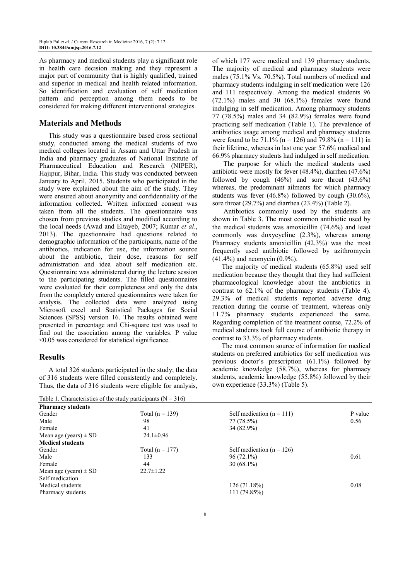As pharmacy and medical students play a significant role in health care decision making and they represent a major part of community that is highly qualified, trained and superior in medical and health related information. So identification and evaluation of self medication pattern and perception among them needs to be considered for making different interventional strategies.

## **Materials and Methods**

This study was a questionnaire based cross sectional study, conducted among the medical students of two medical colleges located in Assam and Uttar Pradesh in India and pharmacy graduates of National Institute of Pharmaceutical Education and Research (NIPER), Hajipur, Bihar, India. This study was conducted between January to April, 2015. Students who participated in the study were explained about the aim of the study. They were ensured about anonymity and confidentiality of the information collected. Written informed consent was taken from all the students. The questionnaire was chosen from previous studies and modified according to the local needs (Awad and Eltayeb, 2007; Kumar *et al*., 2013). The questionnaire had questions related to demographic information of the participants, name of the antibiotics, indication for use, the information source about the antibiotic, their dose, reasons for self administration and idea about self medication etc. Questionnaire was administered during the lecture session to the participating students. The filled questionnaires were evaluated for their completeness and only the data from the completely entered questionnaires were taken for analysis. The collected data were analyzed using Microsoft excel and Statistical Packages for Social Sciences (SPSS) version 16. The results obtained were presented in percentage and Chi-square test was used to find out the association among the variables. P value <0.05 was considered for statistical significance.

## **Results**

A total 326 students participated in the study; the data of 316 students were filled consistently and completely. Thus, the data of 316 students were eligible for analysis, of which 177 were medical and 139 pharmacy students. The majority of medical and pharmacy students were males (75.1% Vs. 70.5%). Total numbers of medical and pharmacy students indulging in self medication were 126 and 111 respectively. Among the medical students 96  $(72.1\%)$  males and 30  $(68.1\%)$  females were found indulging in self medication. Among pharmacy students 77 (78.5%) males and 34 (82.9%) females were found practicing self medication (Table 1). The prevalence of antibiotics usage among medical and pharmacy students were found to be 71.1% (n = 126) and 79.8% (n = 111) in their lifetime, whereas in last one year 57.6% medical and 66.9% pharmacy students had indulged in self medication.

 The purpose for which the medical students used antibiotic were mostly for fever (48.4%), diarrhea (47.6%) followed by cough  $(46\%)$  and sore throat  $(43.6\%)$ whereas, the predominant ailments for which pharmacy students was fever (46.8%) followed by cough (30.6%), sore throat (29.7%) and diarrhea (23.4%) (Table 2).

 Antibiotics commonly used by the students are shown in Table 3. The most common antibiotic used by the medical students was amoxicillin (74.6%) and least commonly was doxycycline (2.3%), whereas among Pharmacy students amoxicillin (42.3%) was the most frequently used antibiotic followed by azithromycin (41.4%) and neomycin (0.9%).

The majority of medical students (65.8%) used self medication because they thought that they had sufficient pharmacological knowledge about the antibiotics in contrast to 62.1% of the pharmacy students (Table 4). 29.3% of medical students reported adverse drug reaction during the course of treatment, whereas only 11.7% pharmacy students experienced the same. Regarding completion of the treatment course, 72.2% of medical students took full course of antibiotic therapy in contrast to 33.3% of pharmacy students.

The most common source of information for medical students on preferred antibiotics for self medication was previous doctor's prescription (61.1%) followed by academic knowledge (58.7%), whereas for pharmacy students, academic knowledge (55.8%) followed by their own experience (33.3%) (Table 5).

| <b>Pharmacy students</b>  |                     |                               |         |
|---------------------------|---------------------|-------------------------------|---------|
| Gender                    | Total $(n = 139)$   | Self medication $(n = 111)$   | P value |
| Male                      | 98                  | 77 (78.5%)                    | 0.56    |
| Female                    | 41                  | 34 (82.9%)                    |         |
| Mean age (years) $\pm$ SD | $24.1 \pm 0.96$     |                               |         |
| <b>Medical students</b>   |                     |                               |         |
| Gender                    | Total ( $n = 177$ ) | Self medication ( $n = 126$ ) |         |
| Male                      | 133                 | $96(72.1\%)$                  | 0.61    |
| Female                    | 44                  | $30(68.1\%)$                  |         |
| Mean age (years) $\pm$ SD | $22.7 \pm 1.22$     |                               |         |
| Self medication           |                     |                               |         |
| Medical students          |                     | 126(71.18%)                   | 0.08    |
| Pharmacy students         |                     | 111(79.85%)                   |         |

Table 1. Characteristics of the study participants ( $N = 316$ )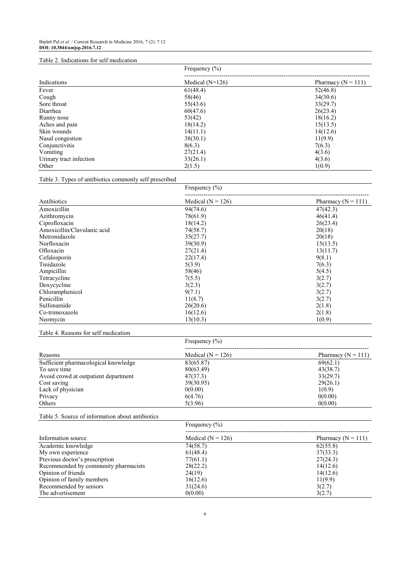#### Biplab Pal *et al*. / Current Research in Medicine 2016, 7 (2): 7.12 **DOI: 10.3844/amjsp.2016.7.12**

## Table 2. Indications for self medication

|                         | Frequency $(\% )$ |                        |  |
|-------------------------|-------------------|------------------------|--|
| Indications             | Medical $(N=126)$ | Pharmacy ( $N = 111$ ) |  |
| Fever                   | 61(48.4)          | 52(46.8)               |  |
| Cough                   | 58(46)            | 34(30.6)               |  |
| Sore throat             | 55(43.6)          | 33(29.7)               |  |
| Diarrhea                | 60(47.6)          | 26(23.4)               |  |
| Runny nose              | 53(42)            | 18(16.2)               |  |
| Aches and pain          | 18(14.2)          | 15(13.5)               |  |
| Skin wounds             | 14(11.1)          | 14(12.6)               |  |
| Nasal congestion        | 38(30.1)          | 11(9.9)                |  |
| Conjunctivitis          | 8(6.3)            | 7(6.3)                 |  |
| Vomiting                | 27(21.4)          | 4(3.6)                 |  |
| Urinary tract infection | 33(26.1)          | 4(3.6)                 |  |
| Other                   | 2(1.5)            | 1(0.9)                 |  |

Table 3. Types of antibiotics commonly self prescribed

|                             | Frequency $(\% )$     |                        |  |
|-----------------------------|-----------------------|------------------------|--|
| Antibiotics                 | Medical ( $N = 126$ ) | Pharmacy ( $N = 111$ ) |  |
| Amoxicillin                 | 94(74.6)              | 47(42.3)               |  |
| Azithromycin                | 78(61.9)              | 46(41.4)               |  |
| Ciprofloxacin               | 18(14.2)              | 26(23.4)               |  |
| Amoxicillin/Clavulanic acid | 74(58.7)              | 20(18)                 |  |
| Metronidazole               | 35(27.7)              | 20(18)                 |  |
| Norfloxacin                 | 39(30.9)              | 15(13.5)               |  |
| Ofloxacin                   | 27(21.4)              | 13(11.7)               |  |
| Cefalosporin                | 22(17.4)              | 9(8.1)                 |  |
| Tinidazole                  | 5(3.9)                | 7(6.3)                 |  |
| Ampicillin                  | 58(46)                | 5(4.5)                 |  |
| Tetracycline                | 7(5.5)                | 3(2.7)                 |  |
| Doxycycline                 | 3(2.3)                | 3(2.7)                 |  |
| Chloramphenicol             | 9(7.1)                | 3(2.7)                 |  |
| Penicillin                  | 11(8.7)               | 3(2.7)                 |  |
| Sulfonamide                 | 26(20.6)              | 2(1.8)                 |  |
| Co-trimoxazole              | 16(12.6)              | 2(1.8)                 |  |
| Neomycin                    | 13(10.3)              | 1(0.9)                 |  |

## Table 4. Reasons for self medication

|                                      | Frequency $(\% )$     |                        |  |
|--------------------------------------|-----------------------|------------------------|--|
| Reasons                              | Medical ( $N = 126$ ) | Pharmacy ( $N = 111$ ) |  |
| Sufficient pharmacological knowledge | 83(65.87)             | 69(62.1)               |  |
| To save time                         | 80(63.49)             | 43(38.7)               |  |
| Avoid crowd at outpatient department | 47(37.3)              | 33(29.7)               |  |
| Cost saving                          | 39(30.95)             | 29(26.1)               |  |
| Lack of physician                    | 0(0.00)               | 1(0.9)                 |  |
| Privacy                              | 6(4.76)               | 0(0.00)                |  |
| Others                               | 5(3.96)               | 0(0.00)                |  |

Table 5. Source of information about antibiotics

|                                      | Frequency $(\% )$     |                        |  |
|--------------------------------------|-----------------------|------------------------|--|
| Information source                   | Medical ( $N = 126$ ) | Pharmacy ( $N = 111$ ) |  |
| Academic knowledge                   | 74(58.7)              | 62(55.8)               |  |
| My own experience                    | 61(48.4)              | 37(33.3)               |  |
| Previous doctor's prescription       | 77(61.1)              | 27(24.3)               |  |
| Recommended by community pharmacists | 28(22.2)              | 14(12.6)               |  |
| Opinion of friends                   | 24(19)                | 14(12.6)               |  |
| Opinion of family members            | 16(12.6)              | 11(9.9)                |  |
| Recommended by seniors               | 31(24.6)              | 3(2.7)                 |  |
| The advertisement                    | 0(0.00)               | 3(2.7)                 |  |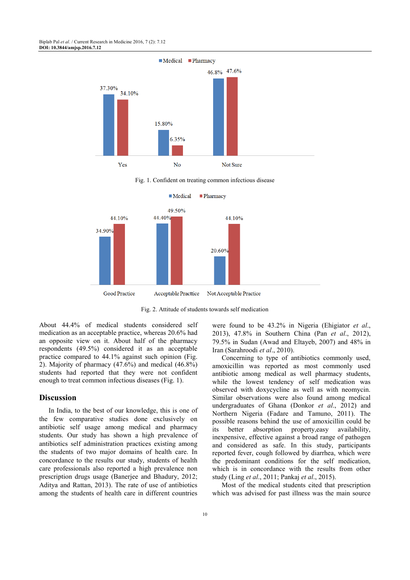





Fig. 2. Attitude of students towards self medication

About 44.4% of medical students considered self medication as an acceptable practice, whereas 20.6% had an opposite view on it. About half of the pharmacy respondents (49.5%) considered it as an acceptable practice compared to 44.1% against such opinion (Fig. 2). Majority of pharmacy (47.6%) and medical (46.8%) students had reported that they were not confident enough to treat common infectious diseases (Fig. 1).

#### **Discussion**

In India, to the best of our knowledge, this is one of the few comparative studies done exclusively on antibiotic self usage among medical and pharmacy students. Our study has shown a high prevalence of antibiotics self administration practices existing among the students of two major domains of health care. In concordance to the results our study, students of health care professionals also reported a high prevalence non prescription drugs usage (Banerjee and Bhadury, 2012; Aditya and Rattan, 2013). The rate of use of antibiotics among the students of health care in different countries

were found to be 43.2% in Nigeria (Ehigiator *et al*., 2013), 47.8% in Southern China (Pan *et al*., 2012), 79.5% in Sudan (Awad and Eltayeb, 2007) and 48% in Iran (Sarahroodi *et al*., 2010).

Concerning to type of antibiotics commonly used, amoxicillin was reported as most commonly used antibiotic among medical as well pharmacy students, while the lowest tendency of self medication was observed with doxycycline as well as with neomycin. Similar observations were also found among medical undergraduates of Ghana (Donkor *et al*., 2012) and Northern Nigeria (Fadare and Tamuno, 2011). The possible reasons behind the use of amoxicillin could be its better absorption property,easy availability, inexpensive, effective against a broad range of pathogen and considered as safe. In this study, participants reported fever, cough followed by diarrhea, which were the predominant conditions for the self medication, which is in concordance with the results from other study (Ling *et al*., 2011; Pankaj *et al*., 2015).

Most of the medical students cited that prescription which was advised for past illness was the main source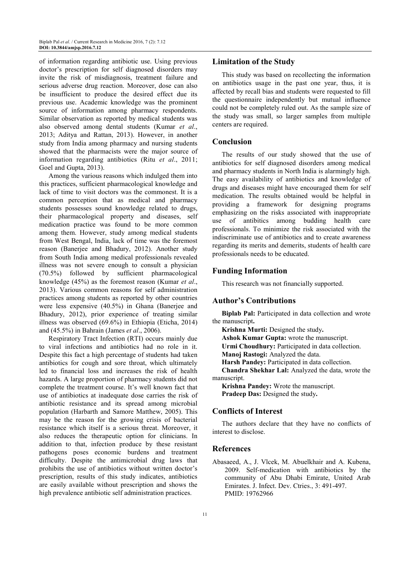of information regarding antibiotic use. Using previous doctor's prescription for self diagnosed disorders may invite the risk of misdiagnosis, treatment failure and serious adverse drug reaction. Moreover, dose can also be insufficient to produce the desired effect due its previous use. Academic knowledge was the prominent source of information among pharmacy respondents. Similar observation as reported by medical students was also observed among dental students (Kumar *et al*., 2013; Aditya and Rattan, 2013). However, in another study from India among pharmacy and nursing students showed that the pharmacists were the major source of information regarding antibiotics (Ritu *et al*., 2011; Goel and Gupta, 2013).

Among the various reasons which indulged them into this practices, sufficient pharmacological knowledge and lack of time to visit doctors was the commonest. It is a common perception that as medical and pharmacy students possesses sound knowledge related to drugs, their pharmacological property and diseases, self medication practice was found to be more common among them. However, study among medical students from West Bengal, India, lack of time was the foremost reason (Banerjee and Bhadury, 2012). Another study from South India among medical professionals revealed illness was not severe enough to consult a physician (70.5%) followed by sufficient pharmacological knowledge (45%) as the foremost reason (Kumar *et al*., 2013). Various common reasons for self administration practices among students as reported by other countries were less expensive (40.5%) in Ghana (Banerjee and Bhadury, 2012), prior experience of treating similar illness was observed (69.6%) in Ethiopia (Eticha, 2014) and (45.5%) in Bahrain (James *et al*., 2006).

Respiratory Tract Infection (RTI) occurs mainly due to viral infections and antibiotics had no role in it. Despite this fact a high percentage of students had taken antibiotics for cough and sore throat, which ultimately led to financial loss and increases the risk of health hazards. A large proportion of pharmacy students did not complete the treatment course. It's well known fact that use of antibiotics at inadequate dose carries the risk of antibiotic resistance and its spread among microbial population (Harbarth and Samore Matthew, 2005). This may be the reason for the growing crisis of bacterial resistance which itself is a serious threat. Moreover, it also reduces the therapeutic option for clinicians. In addition to that, infection produce by these resistant pathogens poses economic burdens and treatment difficulty. Despite the antimicrobial drug laws that prohibits the use of antibiotics without written doctor's prescription, results of this study indicates, antibiotics are easily available without prescription and shows the high prevalence antibiotic self administration practices.

## **Limitation of the Study**

This study was based on recollecting the information on antibiotics usage in the past one year, thus, it is affected by recall bias and students were requested to fill the questionnaire independently but mutual influence could not be completely ruled out. As the sample size of the study was small, so larger samples from multiple centers are required.

### **Conclusion**

The results of our study showed that the use of antibiotics for self diagnosed disorders among medical and pharmacy students in North India is alarmingly high. The easy availability of antibiotics and knowledge of drugs and diseases might have encouraged them for self medication. The results obtained would be helpful in providing a framework for designing programs emphasizing on the risks associated with inappropriate use of antibitics among budding health care professionals. To minimize the risk associated with the indiscriminate use of antibiotics and to create awareness regarding its merits and demerits, students of health care professionals needs to be educated.

### **Funding Information**

This research was not financially supported.

#### **Author's Contributions**

**Biplab Pal:** Participated in data collection and wrote the manuscript**.** 

**Krishna Murti:** Designed the study**.** 

**Ashok Kumar Gupta:** wrote the manuscript.

**Urmi Choudhury:** Participated in data collection.

**Manoj Rastogi:** Analyzed the data.

**Harsh Pandey:** Participated in data collection.

**Chandra Shekhar Lal:** Analyzed the data, wrote the manuscript.

**Krishna Pandey:** Wrote the manuscript. **Pradeep Das:** Designed the study**.**

#### **Conflicts of Interest**

The authors declare that they have no conflicts of interest to disclose.

### **References**

Abasaeed, A., J. Vlcek, M. Abuelkhair and A. Kubena, 2009. Self-medication with antibiotics by the community of Abu Dhabi Emirate, United Arab Emirates. J. Infect. Dev. Ctries., 3: 491-497. PMID: 19762966